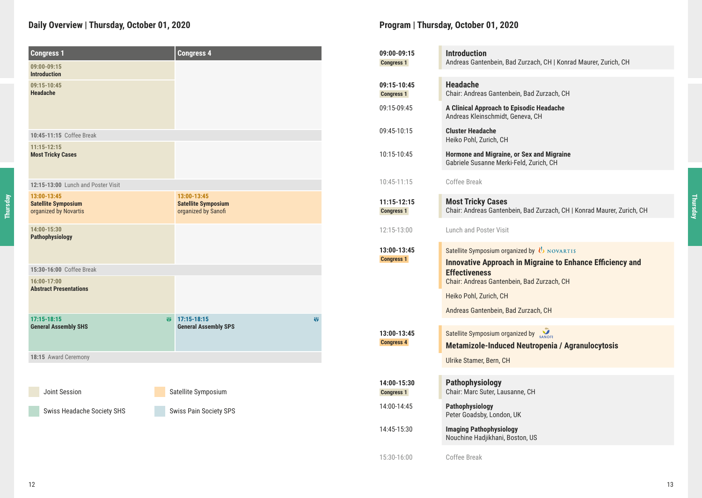# **Daily Overview | Thursday, October 01, 2020 Program | Thursday, October 01, 2020**

| <b>Congress 1</b>                                                  | <b>Congress 4</b>                                                |
|--------------------------------------------------------------------|------------------------------------------------------------------|
| 09:00-09:15<br><b>Introduction</b>                                 |                                                                  |
| 09:15-10:45<br><b>Headache</b>                                     |                                                                  |
| 10:45-11:15 Coffee Break                                           |                                                                  |
| $11:15 - 12:15$<br><b>Most Tricky Cases</b>                        |                                                                  |
| 12:15-13:00 Lunch and Poster Visit                                 |                                                                  |
| 13:00-13:45<br><b>Satellite Symposium</b><br>organized by Novartis | 13:00-13:45<br><b>Satellite Symposium</b><br>organized by Sanofi |
| 14:00-15:30<br>Pathophysiology                                     |                                                                  |
| 15:30-16:00 Coffee Break                                           |                                                                  |
| 16:00-17:00<br><b>Abstract Presentations</b>                       |                                                                  |
| 17:15-18:15<br><b>General Assembly SHS</b>                         | 17:15-18:15<br>崩<br>崩<br><b>General Assembly SPS</b>             |
| 18:15 Award Ceremony                                               |                                                                  |
| Joint Session                                                      | Satellite Symposium                                              |
| Swiss Headache Society SHS                                         | Swiss Pain Society SPS                                           |

| 09:00-09:15<br><b>Congress 1</b> | <b>Introduction</b><br>Andreas Gantenbein, Bad Zurzach, CH   Konrad Maurer, Zurich, CH                                                                                                                                                                         |
|----------------------------------|----------------------------------------------------------------------------------------------------------------------------------------------------------------------------------------------------------------------------------------------------------------|
| 09:15-10:45<br><b>Congress 1</b> | <b>Headache</b><br>Chair: Andreas Gantenbein, Bad Zurzach, CH                                                                                                                                                                                                  |
| 09:15-09:45                      | A Clinical Approach to Episodic Headache<br>Andreas Kleinschmidt, Geneva, CH                                                                                                                                                                                   |
| 09:45-10:15                      | <b>Cluster Headache</b><br>Heiko Pohl, Zurich, CH                                                                                                                                                                                                              |
| 10:15-10:45                      | Hormone and Migraine, or Sex and Migraine<br>Gabriele Susanne Merki-Feld, Zurich, CH                                                                                                                                                                           |
| 10:45-11:15                      | Coffee Break                                                                                                                                                                                                                                                   |
| 11:15-12:15<br><b>Congress 1</b> | <b>Most Tricky Cases</b><br>Chair: Andreas Gantenbein, Bad Zurzach, CH   Konrad Maurer, Zurich, CH                                                                                                                                                             |
| 12:15-13:00                      | Lunch and Poster Visit                                                                                                                                                                                                                                         |
| 13:00-13:45<br><b>Congress 1</b> | Satellite Symposium organized by $\bigcup$ NOVARTIS<br><b>Innovative Approach in Migraine to Enhance Efficiency and</b><br><b>Effectiveness</b><br>Chair: Andreas Gantenbein, Bad Zurzach, CH<br>Heiko Pohl, Zurich, CH<br>Andreas Gantenbein, Bad Zurzach, CH |
| 13:00-13:45                      | Satellite Symposium organized by SANOFI                                                                                                                                                                                                                        |
| <b>Congress 4</b>                | <b>Metamizole-Induced Neutropenia / Agranulocytosis</b><br>Ulrike Stamer, Bern, CH                                                                                                                                                                             |
|                                  |                                                                                                                                                                                                                                                                |
| 14:00-15:30<br><b>Congress 1</b> | Pathophysiology<br>Chair: Marc Suter, Lausanne, CH                                                                                                                                                                                                             |
| 14:00-14:45                      | Pathophysiology<br>Peter Goadsby, London, UK                                                                                                                                                                                                                   |
| 14:45-15:30                      | <b>Imaging Pathophysiology</b><br>Nouchine Hadjikhani, Boston, US                                                                                                                                                                                              |
| 15:30-16:00                      | Coffee Break                                                                                                                                                                                                                                                   |

**Thursday**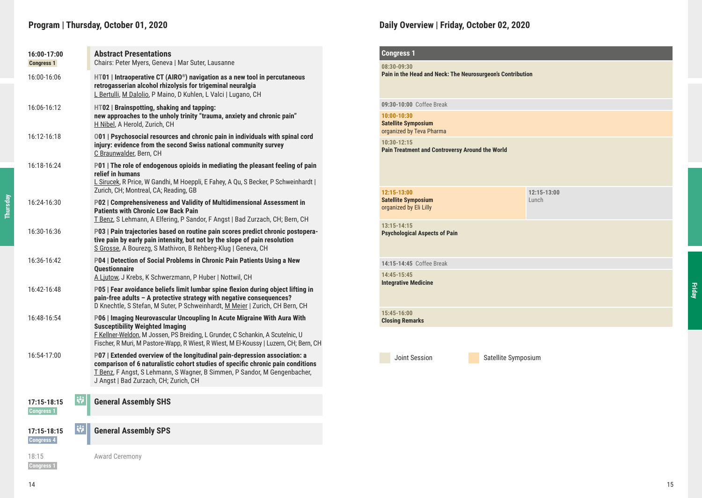# **Program | Thursday, October 01, 2020**

| 16:00-17:00<br><b>Congress 1</b>   | <b>Abstract Presentations</b><br>Chairs: Peter Myers, Geneva   Mar Suter, Lausanne                                                                                                                                                                                                           |
|------------------------------------|----------------------------------------------------------------------------------------------------------------------------------------------------------------------------------------------------------------------------------------------------------------------------------------------|
| 16:00-16:06                        | $HT01$   Intraoperative CT (AIRO®) navigation as a new tool in percutaneous<br>retrogasserian alcohol rhizolysis for trigeminal neuralgia<br>L Bertulli, M Dalolio, P Maino, D Kuhlen, L Valci   Lugano, CH                                                                                  |
| 16:06-16:12                        | HT02   Brainspotting, shaking and tapping:<br>new approaches to the unholy trinity "trauma, anxiety and chronic pain"<br>H Nibel, A Herold, Zurich, CH                                                                                                                                       |
| 16:12-16:18                        | 001   Psychosocial resources and chronic pain in individuals with spinal cord<br>injury: evidence from the second Swiss national community survey<br>C Braunwalder, Bern, CH                                                                                                                 |
| 16:18-16:24                        | P01   The role of endogenous opioids in mediating the pleasant feeling of pain<br>relief in humans<br>L Sirucek, R Price, W Gandhi, M Hoeppli, E Fahey, A Qu, S Becker, P Schweinhardt  <br>Zurich, CH; Montreal, CA; Reading, GB                                                            |
| 16:24-16:30                        | P02   Comprehensiveness and Validity of Multidimensional Assessment in<br><b>Patients with Chronic Low Back Pain</b><br>T Benz, S Lehmann, A Elfering, P Sandor, F Angst   Bad Zurzach, CH; Bern, CH                                                                                         |
| 16:30-16:36                        | P03   Pain trajectories based on routine pain scores predict chronic postopera-<br>tive pain by early pain intensity, but not by the slope of pain resolution<br>S Grosse, A Bourezg, S Mathivon, B Rehberg-Klug   Geneva, CH                                                                |
| 16:36-16:42                        | P04   Detection of Social Problems in Chronic Pain Patients Using a New<br><b>Ouestionnaire</b><br>A Ljutow, J Krebs, K Schwerzmann, P Huber   Nottwil, CH                                                                                                                                   |
| 16:42-16:48                        | P05   Fear avoidance beliefs limit lumbar spine flexion during object lifting in<br>pain-free adults - A protective strategy with negative consequences?<br>D Knechtle, S Stefan, M Suter, P Schweinhardt, M Meier   Zurich, CH Bern, CH                                                     |
| 16:48-16:54                        | P06   Imaging Neurovascular Uncoupling In Acute Migraine With Aura With<br><b>Susceptibility Weighted Imaging</b><br>F Kellner-Weldon, M Jossen, PS Breiding, L Grunder, C Schankin, A Scutelnic, U<br>Fischer, R Muri, M Pastore-Wapp, R Wiest, R Wiest, M El-Koussy   Luzern, CH; Bern, CH |
| 16:54-17:00                        | P07   Extended overview of the longitudinal pain-depression association: a<br>comparison of 6 naturalistic cohort studies of specific chronic pain conditions<br>T Benz, F Angst, S Lehmann, S Wagner, B Simmen, P Sandor, M Gengenbacher,<br>J Angst   Bad Zurzach, CH; Zurich, CH          |
| W<br>$17:15 - 18:15$<br>Congress 1 | <b>General Assembly SHS</b>                                                                                                                                                                                                                                                                  |
| 單<br>$17:15 - 18:15$<br>Congress 4 | <b>General Assembly SPS</b>                                                                                                                                                                                                                                                                  |
| 18:15                              | <b>Award Ceremony</b>                                                                                                                                                                                                                                                                        |

### **Daily Overview | Friday, October 02, 2020**

| <b>Congress 1</b>                                                         |                     |                          |
|---------------------------------------------------------------------------|---------------------|--------------------------|
| 08:30-09:30<br>Pain in the Head and Neck: The Neurosurgeon's Contribution |                     |                          |
| 09:30-10:00 Coffee Break                                                  |                     |                          |
| 10:00-10:30<br><b>Satellite Symposium</b><br>organized by Teva Pharma     |                     |                          |
| 10:30-12:15<br>Pain Treatment and Controversy Around the World            |                     |                          |
| $12:15 - 13:00$<br><b>Satellite Symposium</b><br>organized by Eli Lilly   |                     | $12:15 - 13:00$<br>Lunch |
| $13:15 - 14:15$<br><b>Psychological Aspects of Pain</b>                   |                     |                          |
| 14:15-14:45 Coffee Break                                                  |                     |                          |
| 14:45-15:45<br><b>Integrative Medicine</b>                                |                     |                          |
| 15:45-16:00<br><b>Closing Remarks</b>                                     |                     |                          |
|                                                                           |                     |                          |
| Joint Session                                                             | Satellite Symposium |                          |

 **Congress 1** 

**Thursday**